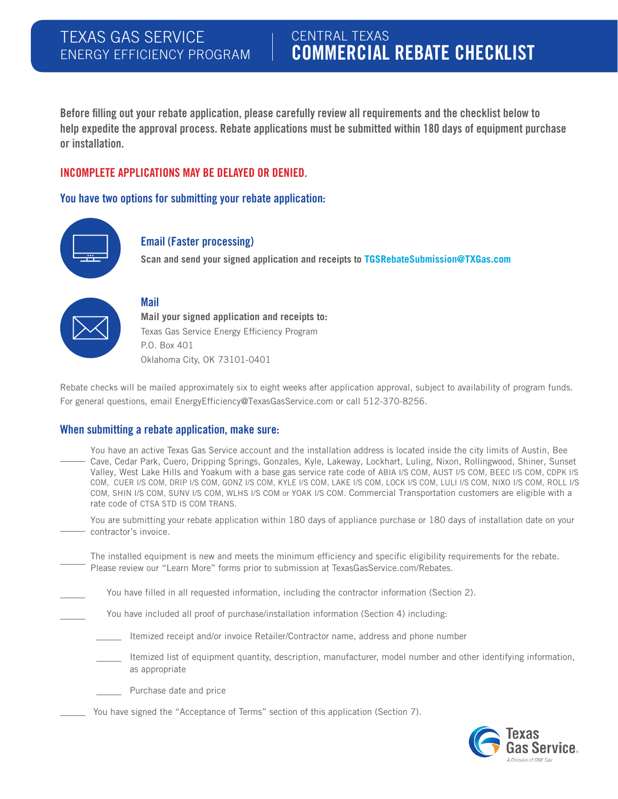### TEXAS GAS SERVICE ENERGY EFFICIENCY PROGRAM

# CENTRAL TEXAS COMMERCIAL REBATE CHECKLIST

Before filling out your rebate application, please carefully review all requirements and the checklist below to help expedite the approval process. Rebate applications must be submitted within 180 days of equipment purchase or installation.

#### INCOMPLETE APPLICATIONS MAY BE DELAYED OR DENIED.

You have two options for submitting your rebate application:



#### Email (Faster processing)

**Scan and send your signed application and receipts to TGSRebateSubmission@TXGas.com**



#### Mail

**Mail your signed application and receipts to:**  Texas Gas Service Energy Efficiency Program P.O. Box 401 Oklahoma City, OK 73101-0401

Rebate checks will be mailed approximately six to eight weeks after application approval, subject to availability of program funds. For general questions, email EnergyEfficiency@TexasGasService.com or call 512-370-8256.

#### When submitting a rebate application, make sure:

- You have an active Texas Gas Service account and the installation address is located inside the city limits of Austin, Bee Cave, Cedar Park, Cuero, Dripping Springs, Gonzales, Kyle, Lakeway, Lockhart, Luling, Nixon, Rollingwood, Shiner, Sunset Valley, West Lake Hills and Yoakum with a base gas service rate code of ABIA I/S COM, AUST I/S COM, BEEC I/S COM, CDPK I/S COM, CUER I/S COM, DRIP I/S COM, GONZ I/S COM, KYLE I/S COM, LAKE I/S COM, LOCK I/S COM, LULI I/S COM, NIXO I/S COM, ROLL I/S COM, SHIN I/S COM, SUNV I/S COM, WLHS I/S COM or YOAK I/S COM. Commercial Transportation customers are eligible with a rate code of CTSA STD IS COM TRANS.
	- You are submitting your rebate application within 180 days of appliance purchase or 180 days of installation date on your contractor's invoice.
- The installed equipment is new and meets the minimum efficiency and specific eligibility requirements for the rebate. Please review our "Learn More" forms prior to submission at TexasGasService.com/Rebates.

You have filled in all requested information, including the contractor information (Section 2).

- You have included all proof of purchase/installation information (Section 4) including:
	- Itemized receipt and/or invoice Retailer/Contractor name, address and phone number
	- Itemized list of equipment quantity, description, manufacturer, model number and other identifying information, as appropriate
	- Purchase date and price
- You have signed the "Acceptance of Terms" section of this application (Section 7).

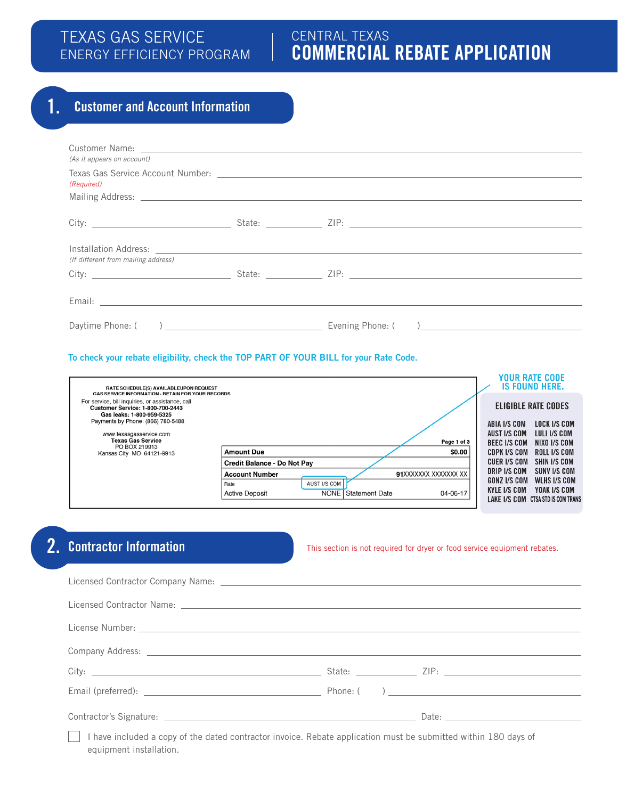## TEXAS GAS SERVICE ENERGY EFFICIENCY PROGRAM

## CENTRAL TEXAS COMMERCIAL REBATE APPLICATION

# 1. Customer and Account Information

| (As it appears on account)          |  |
|-------------------------------------|--|
| (Required)                          |  |
|                                     |  |
|                                     |  |
|                                     |  |
|                                     |  |
|                                     |  |
| (If different from mailing address) |  |
|                                     |  |
|                                     |  |
|                                     |  |
|                                     |  |
|                                     |  |
|                                     |  |

#### To check your rebate eligibility, check the TOP PART OF YOUR BILL for your Rate Code.

| RATE SCHEDULE(S) AVAILABLEUPON REQUEST<br><b>GAS SERVICE INFORMATION - RETAIN FOR YOUR RECORDS</b>                       |                             |                     |                      |                     | <b>YOUR RATE CODE</b><br><b>IS FOUND HERE.</b> |
|--------------------------------------------------------------------------------------------------------------------------|-----------------------------|---------------------|----------------------|---------------------|------------------------------------------------|
| For service, bill inquiries, or assistance, call<br><b>Customer Service: 1-800-700-2443</b><br>Gas leaks: 1-800-959-5325 |                             |                     |                      |                     | ELIGIBLE RATE CODES                            |
| Payments by Phone: (866) 780-5488                                                                                        |                             |                     |                      | ABIA I/S COM        | LOCK I/S COM                                   |
| www.texasgasservice.com                                                                                                  |                             |                     |                      | AUST I/S COM        | LULI I/S COM                                   |
| <b>Texas Gas Service</b><br>PO BOX 219913                                                                                |                             |                     | Page 1 of 3          | <b>BEEC I/S COM</b> | NIXO I/S COM                                   |
| Kansas City MO 64121-9913                                                                                                | <b>Amount Due</b>           |                     | \$0.00               | CDPK I/S COM        | ROLL I/S COM                                   |
|                                                                                                                          | Credit Balance - Do Not Pay |                     |                      | CUER I/S COM        | SHIN I/S COM                                   |
|                                                                                                                          | <b>Account Number</b>       |                     | 91XXXXXXX XXXXXXX XX | DRIP I/S COM        | SUNV I/S COM                                   |
|                                                                                                                          | Rate                        | AUST I/S COM        |                      | GONZ I/S COM        | WLHS I/S COM                                   |
|                                                                                                                          | <b>Active Deposit</b>       | NONE Statement Date | 04-06-17             | KYLE I/S COM        | YOAK I/S COM                                   |
|                                                                                                                          |                             |                     |                      |                     | LAKE I/S COM CTSA STD IS COM TRANS             |

# 2. Contractor Information

This section is not required for dryer or food service equipment rebates.

| Company Address: company Address: company Address: company Address: company Address: company Address: company Address: company Address: company Address: company Address: company Address: company Address: company Address: c |  |
|--------------------------------------------------------------------------------------------------------------------------------------------------------------------------------------------------------------------------------|--|
|                                                                                                                                                                                                                                |  |
|                                                                                                                                                                                                                                |  |
|                                                                                                                                                                                                                                |  |
|                                                                                                                                                                                                                                |  |

 I have included a copy of the dated contractor invoice. Rebate application must be submitted within 180 days of equipment installation.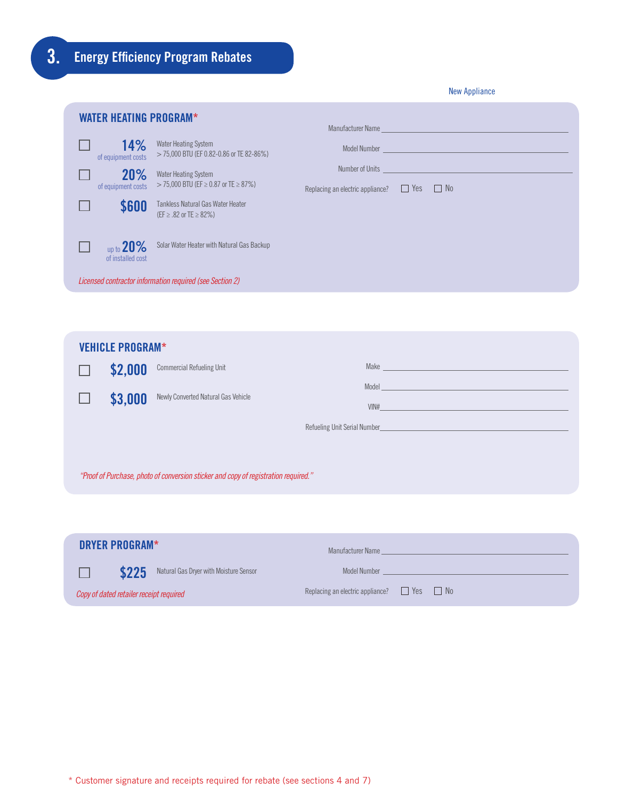New Appliance WATER HEATING PROGRAM\* Manufacturer Name 14% Water Heating System □ Model Number of equipment costs > 75,000 BTU (EF 0.82-0.86 or TE 82-86%) Number of Units 20% of equipment costs □ Water Heating System > 75,000 BTU (EF ≥ 0.87 or TE ≥ 87%) Replacing an electric appliance?  $\Box$  Yes  $\Box$  No  $\Box$ **\$600** Tankless Natural Gas Water Heater (EF ≥ .82 or TE ≥ 82%)  $\Box$ up to  $20\%$  Solar Water Heater with Natural Gas Backup of installed cost *Licensed contractor information required (see Section 2)*



| DRYER PROGRAM*                          |       | Manufacturer Name                                     |              |  |  |  |
|-----------------------------------------|-------|-------------------------------------------------------|--------------|--|--|--|
|                                         | \$225 | Natural Gas Dryer with Moisture Sensor                | Model Number |  |  |  |
| Copy of dated retailer receipt required |       | Replacing an electric appliance? $\Box$ Yes $\Box$ No |              |  |  |  |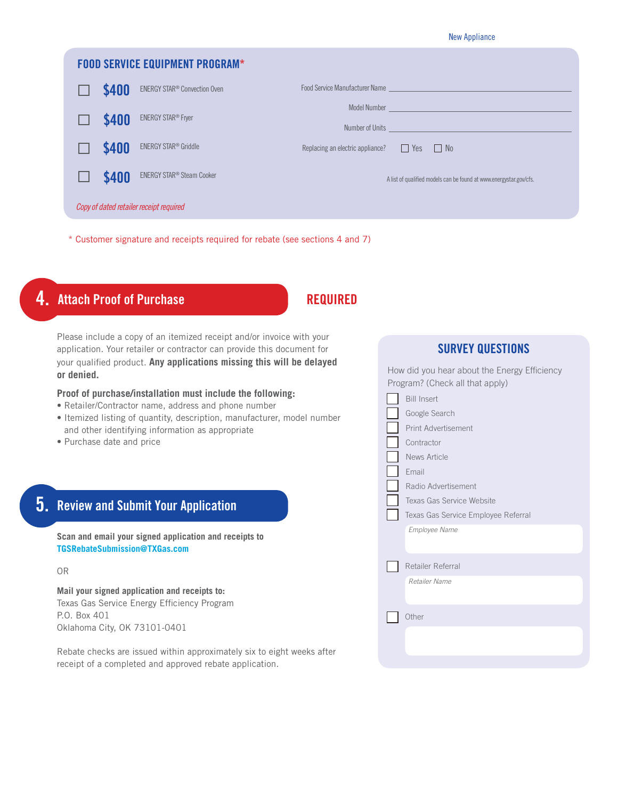New Appliance

|              | <b>FOOD SERVICE EQUIPMENT PROGRAM*</b>      |                                                       |                                                                                                                                                                                                                                      |
|--------------|---------------------------------------------|-------------------------------------------------------|--------------------------------------------------------------------------------------------------------------------------------------------------------------------------------------------------------------------------------------|
| \$400        | ENERGY STAR <sup>®</sup> Convection Oven    |                                                       | Food Service Manufacturer Name <b>Contract Contract Contract Contract Contract Contract Contract Contract Contract Contract Contract Contract Contract Contract Contract Contract Contract Contract Contract Contract Contract C</b> |
| \$400        | <b>ENERGY STAR® Fryer</b>                   |                                                       | Number of Units <u>Communications</u>                                                                                                                                                                                                |
| \$400        | ENERGY STAR <sup>®</sup> Griddle            | Replacing an electric appliance? $\Box$ Yes $\Box$ No |                                                                                                                                                                                                                                      |
| <b>\$400</b> | <b>ENERGY STAR<sup>®</sup> Steam Cooker</b> |                                                       | A list of qualified models can be found at www.energystar.gov/cfs.                                                                                                                                                                   |
|              | Copy of dated retailer receipt required     |                                                       |                                                                                                                                                                                                                                      |

\* Customer signature and receipts required for rebate (see sections 4 and 7)



Please include a copy of an itemized receipt and/or invoice with your application. Your retailer or contractor can provide this document for your qualified product. **Any applications missing this will be delayed or denied.**

#### **Proof of purchase/installation must include the following:**

- Retailer/Contractor name, address and phone number
- Itemized listing of quantity, description, manufacturer, model number and other identifying information as appropriate
- Purchase date and price

# **5.** Review and Submit Your Application

**Scan and email your signed application and receipts to TGSRebateSubmission@TXGas.com**

#### OR

**Mail your signed application and receipts to:** Texas Gas Service Energy Efficiency Program P.O. Box 401 Oklahoma City, OK 73101-0401

Rebate checks are issued within approximately six to eight weeks after receipt of a completed and approved rebate application.

| From and you from about the Lifery Lineroney |                                     |  |  |  |  |
|----------------------------------------------|-------------------------------------|--|--|--|--|
|                                              | Program? (Check all that apply)     |  |  |  |  |
|                                              | <b>Bill Insert</b>                  |  |  |  |  |
|                                              | Google Search                       |  |  |  |  |
|                                              | Print Advertisement                 |  |  |  |  |
|                                              | Contractor                          |  |  |  |  |
|                                              | <b>News Article</b>                 |  |  |  |  |
|                                              | Email                               |  |  |  |  |
|                                              | Radio Advertisement                 |  |  |  |  |
|                                              | Texas Gas Service Website           |  |  |  |  |
|                                              | Texas Gas Service Employee Referral |  |  |  |  |
|                                              | <b>Employee Name</b>                |  |  |  |  |
|                                              |                                     |  |  |  |  |
|                                              | Retailer Referral                   |  |  |  |  |
|                                              | Retailer Name                       |  |  |  |  |
|                                              |                                     |  |  |  |  |
|                                              | Other                               |  |  |  |  |
|                                              |                                     |  |  |  |  |
|                                              |                                     |  |  |  |  |
|                                              |                                     |  |  |  |  |
|                                              |                                     |  |  |  |  |

SURVEY QUESTIONS

How did you hear about the Energy Efficiency